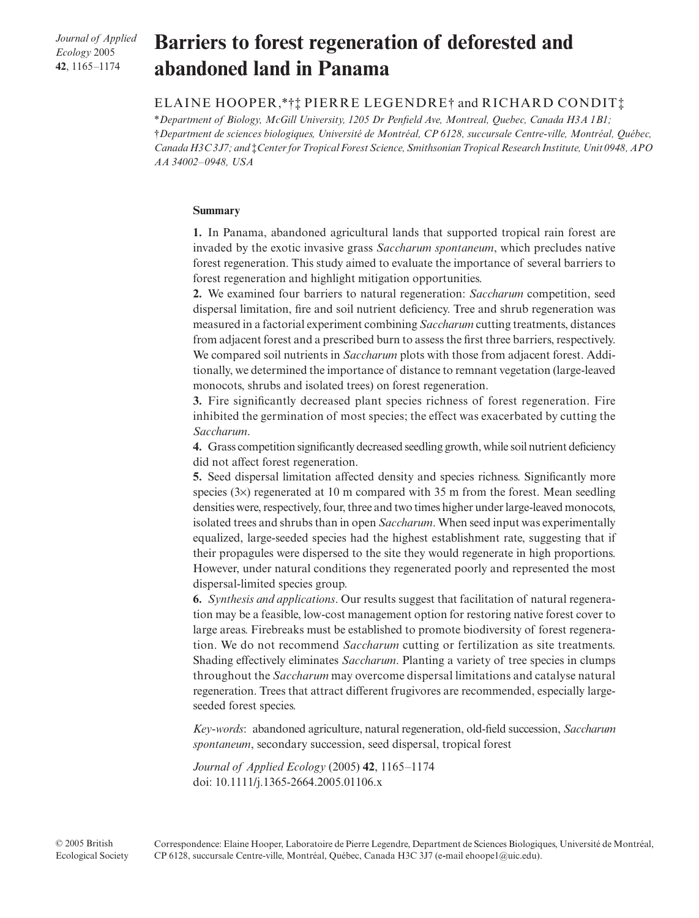*Journal of Applied Ecology* 2005 **42**, 1165–1174

# Barriers to forest regeneration of deforested and **abandoned land in Panama**

## ELAINE HOOPER,\*†‡ PIERRE LEGENDRE† and RICHARD CONDIT‡

\**Department of Biology, McGill University, 1205 Dr Penfield Ave, Montreal, Quebec, Canada H3A 1B1;*  †*Department de sciences biologiques, Université de Montréal, CP 6128, succursale Centre-ville, Montréal, Québec, Canada H3C 3J7; and* ‡*Center for Tropical Forest Science, Smithsonian Tropical Research Institute, Unit 0948, APO AA 34002–0948, USA* 

## **Summary**

**1.** In Panama, abandoned agricultural lands that supported tropical rain forest are invaded by the exotic invasive grass *Saccharum spontaneum*, which precludes native forest regeneration. This study aimed to evaluate the importance of several barriers to forest regeneration and highlight mitigation opportunities.

**2.** We examined four barriers to natural regeneration: *Saccharum* competition, seed dispersal limitation, fire and soil nutrient deficiency. Tree and shrub regeneration was measured in a factorial experiment combining *Saccharum* cutting treatments, distances from adjacent forest and a prescribed burn to assess the first three barriers, respectively. We compared soil nutrients in *Saccharum* plots with those from adjacent forest. Additionally, we determined the importance of distance to remnant vegetation (large-leaved monocots, shrubs and isolated trees) on forest regeneration.

**3.** Fire significantly decreased plant species richness of forest regeneration. Fire inhibited the germination of most species; the effect was exacerbated by cutting the *Saccharum*.

**4.** Grass competition significantly decreased seedling growth, while soil nutrient deficiency did not affect forest regeneration.

**5.** Seed dispersal limitation affected density and species richness. Significantly more species (3×) regenerated at 10 m compared with 35 m from the forest. Mean seedling densities were, respectively, four, three and two times higher under large-leaved monocots, isolated trees and shrubs than in open *Saccharum*. When seed input was experimentally equalized, large-seeded species had the highest establishment rate, suggesting that if their propagules were dispersed to the site they would regenerate in high proportions. However, under natural conditions they regenerated poorly and represented the most dispersal-limited species group.

**6.** *Synthesis and applications*. Our results suggest that facilitation of natural regeneration may be a feasible, low-cost management option for restoring native forest cover to large areas. Firebreaks must be established to promote biodiversity of forest regeneration. We do not recommend *Saccharum* cutting or fertilization as site treatments. Shading effectively eliminates *Saccharum*. Planting a variety of tree species in clumps throughout the *Saccharum* may overcome dispersal limitations and catalyse natural regeneration. Trees that attract different frugivores are recommended, especially largeseeded forest species.

*Key-words*: abandoned agriculture, natural regeneration, old-field succession, *Saccharum spontaneum*, secondary succession, seed dispersal, tropical forest

*Journal of Applied Ecology* (2005) **42**, 1165–1174 doi: 10.1111/j.1365-2664.2005.01106.x

Correspondence: Elaine Hooper, Laboratoire de Pierre Legendre, Department de Sciences Biologiques, Université de Montréal, CP 6128, succursale Centre-ville, Montréal, Québec, Canada H3C 3J7 (e**-**mail ehoope1@uic.edu).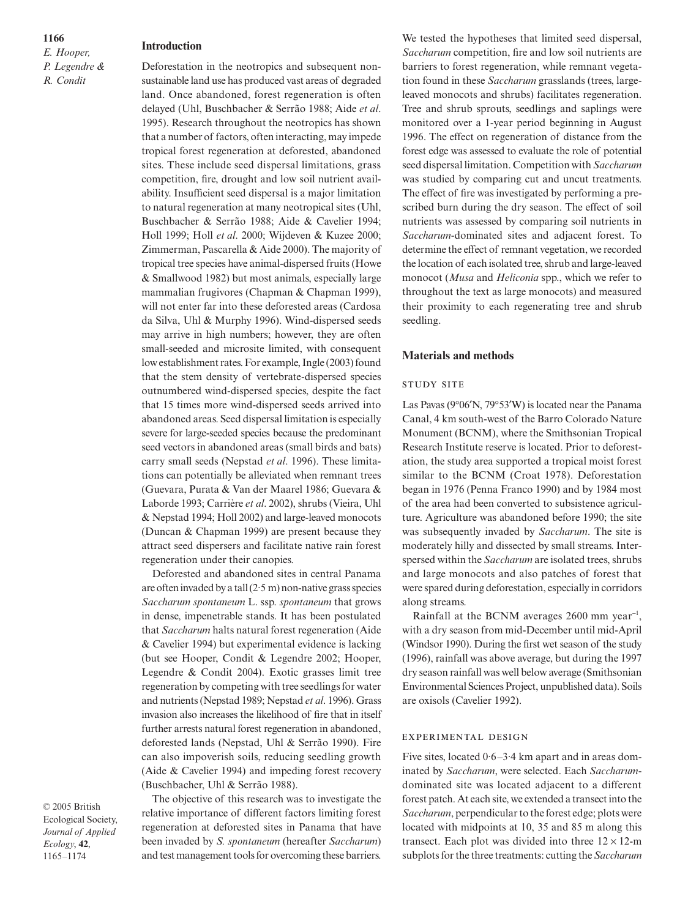## **1166**

*E. Hooper, P. Legendre & R. Condit*

#### **Introduction**

Deforestation in the neotropics and subsequent nonsustainable land use has produced vast areas of degraded land. Once abandoned, forest regeneration is often delayed (Uhl, Buschbacher & Serrão 1988; Aide *et al*. 1995). Research throughout the neotropics has shown that a number of factors, often interacting, may impede tropical forest regeneration at deforested, abandoned sites. These include seed dispersal limitations, grass competition, fire, drought and low soil nutrient availability. Insufficient seed dispersal is a major limitation to natural regeneration at many neotropical sites (Uhl, Buschbacher & Serrão 1988; Aide & Cavelier 1994; Holl 1999; Holl *et al*. 2000; Wijdeven & Kuzee 2000; Zimmerman, Pascarella & Aide 2000). The majority of tropical tree species have animal-dispersed fruits (Howe & Smallwood 1982) but most animals, especially large mammalian frugivores (Chapman & Chapman 1999), will not enter far into these deforested areas (Cardosa da Silva, Uhl & Murphy 1996). Wind-dispersed seeds may arrive in high numbers; however, they are often small-seeded and microsite limited, with consequent low establishment rates. For example, Ingle (2003) found that the stem density of vertebrate-dispersed species outnumbered wind-dispersed species, despite the fact that 15 times more wind-dispersed seeds arrived into abandoned areas. Seed dispersal limitation is especially severe for large-seeded species because the predominant seed vectors in abandoned areas (small birds and bats) carry small seeds (Nepstad *et al*. 1996). These limitations can potentially be alleviated when remnant trees (Guevara, Purata & Van der Maarel 1986; Guevara & Laborde 1993; Carrière *et al*. 2002), shrubs (Vieira, Uhl & Nepstad 1994; Holl 2002) and large-leaved monocots (Duncan & Chapman 1999) are present because they attract seed dispersers and facilitate native rain forest regeneration under their canopies.

Deforested and abandoned sites in central Panama are often invaded by a tall  $(2.5 \text{ m})$  non-native grass species *Saccharum spontaneum* L. ssp. *spontaneum* that grows in dense, impenetrable stands. It has been postulated that *Saccharum* halts natural forest regeneration (Aide & Cavelier 1994) but experimental evidence is lacking (but see Hooper, Condit & Legendre 2002; Hooper, Legendre & Condit 2004). Exotic grasses limit tree regeneration by competing with tree seedlings for water and nutrients (Nepstad 1989; Nepstad *et al*. 1996). Grass invasion also increases the likelihood of fire that in itself further arrests natural forest regeneration in abandoned, deforested lands (Nepstad, Uhl & Serrão 1990). Fire can also impoverish soils, reducing seedling growth (Aide & Cavelier 1994) and impeding forest recovery (Buschbacher, Uhl & Serrão 1988).

© 2005 British Ecological Society, *Journal of Applied Ecology*, **42**, 1165–1174

The objective of this research was to investigate the relative importance of different factors limiting forest regeneration at deforested sites in Panama that have been invaded by *S. spontaneum* (hereafter *Saccharum*) and test management tools for overcoming these barriers.

We tested the hypotheses that limited seed dispersal, *Saccharum* competition, fire and low soil nutrients are barriers to forest regeneration, while remnant vegetation found in these *Saccharum* grasslands (trees, largeleaved monocots and shrubs) facilitates regeneration. Tree and shrub sprouts, seedlings and saplings were monitored over a 1-year period beginning in August 1996. The effect on regeneration of distance from the forest edge was assessed to evaluate the role of potential seed dispersal limitation. Competition with *Saccharum* was studied by comparing cut and uncut treatments. The effect of fire was investigated by performing a prescribed burn during the dry season. The effect of soil nutrients was assessed by comparing soil nutrients in *Saccharum*-dominated sites and adjacent forest. To determine the effect of remnant vegetation, we recorded the location of each isolated tree, shrub and large-leaved monocot (*Musa* and *Heliconia* spp., which we refer to throughout the text as large monocots) and measured their proximity to each regenerating tree and shrub seedling.

## **Materials and methods**

#### **STUDY SITE**

Las Pavas (9°06′N, 79°53′W) is located near the Panama Canal, 4 km south-west of the Barro Colorado Nature Monument (BCNM), where the Smithsonian Tropical Research Institute reserve is located. Prior to deforestation, the study area supported a tropical moist forest similar to the BCNM (Croat 1978). Deforestation began in 1976 (Penna Franco 1990) and by 1984 most of the area had been converted to subsistence agriculture. Agriculture was abandoned before 1990; the site was subsequently invaded by *Saccharum*. The site is moderately hilly and dissected by small streams. Interspersed within the *Saccharum* are isolated trees, shrubs and large monocots and also patches of forest that were spared during deforestation, especially in corridors along streams.

Rainfall at the BCNM averages  $2600$  mm year<sup>-1</sup>, with a dry season from mid-December until mid-April (Windsor 1990). During the first wet season of the study (1996), rainfall was above average, but during the 1997 dry season rainfall was well below average (Smithsonian Environmental Sciences Project, unpublished data). Soils are oxisols (Cavelier 1992).

### EXPERIMENTAL DESIGN

Five sites, located 0·6–3·4 km apart and in areas dominated by *Saccharum*, were selected. Each *Saccharum*dominated site was located adjacent to a different forest patch. At each site, we extended a transect into the *Saccharum*, perpendicular to the forest edge; plots were located with midpoints at 10, 35 and 85 m along this transect. Each plot was divided into three  $12 \times 12$ -m subplots for the three treatments: cutting the *Saccharum*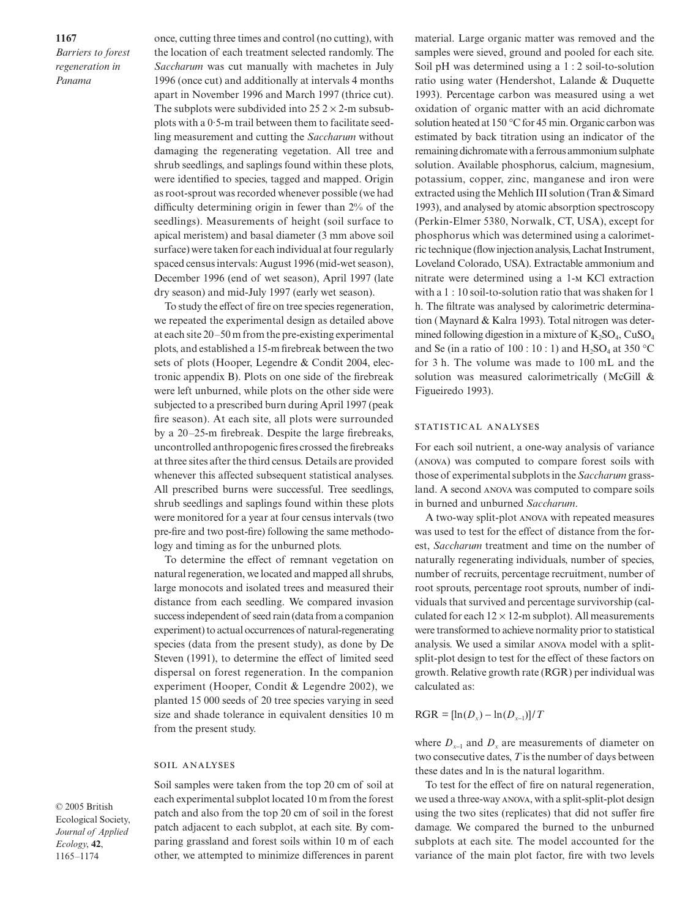*Barriers to forest regeneration in Panama*

once, cutting three times and control (no cutting), with the location of each treatment selected randomly. The *Saccharum* was cut manually with machetes in July 1996 (once cut) and additionally at intervals 4 months apart in November 1996 and March 1997 (thrice cut). The subplots were subdivided into  $25.2 \times 2$ -m subsubplots with a 0·5-m trail between them to facilitate seedling measurement and cutting the *Saccharum* without damaging the regenerating vegetation. All tree and shrub seedlings, and saplings found within these plots, were identified to species, tagged and mapped. Origin as root-sprout was recorded whenever possible (we had difficulty determining origin in fewer than 2% of the seedlings). Measurements of height (soil surface to apical meristem) and basal diameter (3 mm above soil surface) were taken for each individual at four regularly spaced census intervals: August 1996 (mid-wet season), December 1996 (end of wet season), April 1997 (late dry season) and mid-July 1997 (early wet season).

To study the effect of fire on tree species regeneration, we repeated the experimental design as detailed above at each site 20–50 m from the pre-existing experimental plots, and established a 15-m firebreak between the two sets of plots (Hooper, Legendre & Condit 2004, electronic appendix B). Plots on one side of the firebreak were left unburned, while plots on the other side were subjected to a prescribed burn during April 1997 (peak fire season). At each site, all plots were surrounded by a 20–25-m firebreak. Despite the large firebreaks, uncontrolled anthropogenic fires crossed the firebreaks at three sites after the third census. Details are provided whenever this affected subsequent statistical analyses. All prescribed burns were successful. Tree seedlings, shrub seedlings and saplings found within these plots were monitored for a year at four census intervals (two pre-fire and two post-fire) following the same methodology and timing as for the unburned plots.

To determine the effect of remnant vegetation on natural regeneration, we located and mapped all shrubs, large monocots and isolated trees and measured their distance from each seedling. We compared invasion success independent of seed rain (data from a companion experiment) to actual occurrences of natural-regenerating species (data from the present study), as done by De Steven (1991), to determine the effect of limited seed dispersal on forest regeneration. In the companion experiment (Hooper, Condit & Legendre 2002), we planted 15 000 seeds of 20 tree species varying in seed size and shade tolerance in equivalent densities 10 m from the present study.

### **SOIL ANALYSES**

© 2005 British Ecological Society, *Journal of Applied Ecology*, **42**, 1165–1174

Soil samples were taken from the top 20 cm of soil at each experimental subplot located 10 m from the forest patch and also from the top 20 cm of soil in the forest patch adjacent to each subplot, at each site. By comparing grassland and forest soils within 10 m of each other, we attempted to minimize differences in parent

material. Large organic matter was removed and the samples were sieved, ground and pooled for each site. Soil pH was determined using a 1 : 2 soil-to-solution ratio using water (Hendershot, Lalande & Duquette 1993). Percentage carbon was measured using a wet oxidation of organic matter with an acid dichromate solution heated at 150 °C for 45 min. Organic carbon was estimated by back titration using an indicator of the remaining dichromate with a ferrous ammonium sulphate solution. Available phosphorus, calcium, magnesium, potassium, copper, zinc, manganese and iron were extracted using the Mehlich III solution (Tran & Simard 1993), and analysed by atomic absorption spectroscopy (Perkin-Elmer 5380, Norwalk, CT, USA), except for phosphorus which was determined using a calorimetric technique (flow injection analysis, Lachat Instrument, Loveland Colorado, USA). Extractable ammonium and nitrate were determined using a 1-M KCl extraction with a 1 : 10 soil-to-solution ratio that was shaken for 1 h. The filtrate was analysed by calorimetric determination (Maynard & Kalra 1993). Total nitrogen was determined following digestion in a mixture of  $K_2SO_4$ , CuSO<sub>4</sub> and Se (in a ratio of 100 : 10 : 1) and  $H_2SO_4$  at 350 °C for 3 h. The volume was made to 100 mL and the solution was measured calorimetrically (McGill & Figueiredo 1993).

## STATISTICAL ANALYSES

For each soil nutrient, a one-way analysis of variance (ANOVA) was computed to compare forest soils with those of experimental subplots in the *Saccharum* grassland. A second ANOVA was computed to compare soils in burned and unburned *Saccharum*.

A two-way split-plot ANOVA with repeated measures was used to test for the effect of distance from the forest, *Saccharum* treatment and time on the number of naturally regenerating individuals, number of species, number of recruits, percentage recruitment, number of root sprouts, percentage root sprouts, number of individuals that survived and percentage survivorship (calculated for each  $12 \times 12$ -m subplot). All measurements were transformed to achieve normality prior to statistical analysis. We used a similar ANOVA model with a splitsplit-plot design to test for the effect of these factors on growth. Relative growth rate (RGR) per individual was calculated as:

### $RGR = \frac{\ln(D_x) - \ln(D_{x-1})}{T}$

where  $D_{x-1}$  and  $D_x$  are measurements of diameter on two consecutive dates, *T* is the number of days between these dates and ln is the natural logarithm.

To test for the effect of fire on natural regeneration, we used a three-way ANOVA, with a split-split-plot design using the two sites (replicates) that did not suffer fire damage. We compared the burned to the unburned subplots at each site. The model accounted for the variance of the main plot factor, fire with two levels

#### **1167**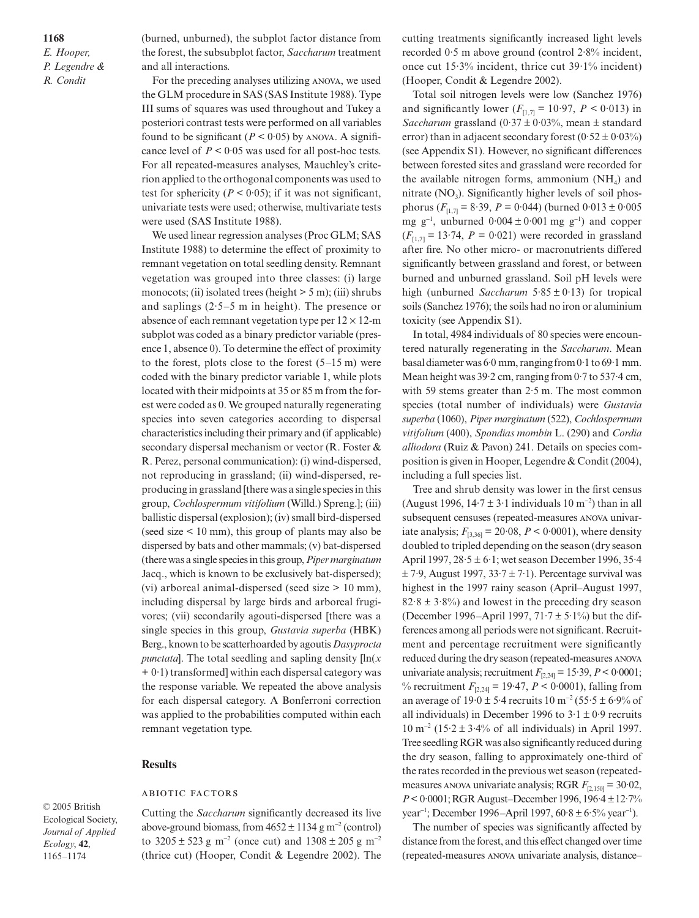**1168** *E. Hooper, P. Legendre & R. Condit*

(burned, unburned), the subplot factor distance from the forest, the subsubplot factor, *Saccharum* treatment and all interactions.

For the preceding analyses utilizing ANOVA, we used the GLM procedure in SAS (SAS Institute 1988). Type III sums of squares was used throughout and Tukey a posteriori contrast tests were performed on all variables found to be significant  $(P < 0.05)$  by ANOVA. A significance level of  $P < 0.05$  was used for all post-hoc tests. For all repeated-measures analyses, Mauchley's criterion applied to the orthogonal components was used to test for sphericity ( $P < 0.05$ ); if it was not significant, univariate tests were used; otherwise, multivariate tests were used (SAS Institute 1988).

We used linear regression analyses (Proc GLM; SAS Institute 1988) to determine the effect of proximity to remnant vegetation on total seedling density. Remnant vegetation was grouped into three classes: (i) large monocots; (ii) isolated trees (height  $> 5$  m); (iii) shrubs and saplings  $(2.5-5 \text{ m in height})$ . The presence or absence of each remnant vegetation type per  $12 \times 12$ -m subplot was coded as a binary predictor variable (presence 1, absence 0). To determine the effect of proximity to the forest, plots close to the forest  $(5-15 \text{ m})$  were coded with the binary predictor variable 1, while plots located with their midpoints at 35 or 85 m from the forest were coded as 0. We grouped naturally regenerating species into seven categories according to dispersal characteristics including their primary and (if applicable) secondary dispersal mechanism or vector (R. Foster & R. Perez, personal communication): (i) wind-dispersed, not reproducing in grassland; (ii) wind-dispersed, reproducing in grassland [there was a single species in this group, *Cochlospermum vitifolium* (Willd.) Spreng.]; (iii) ballistic dispersal (explosion); (iv) small bird-dispersed (seed size < 10 mm), this group of plants may also be dispersed by bats and other mammals; (v) bat-dispersed (there was a single species in this group, *Piper marginatum* Jacq., which is known to be exclusively bat-dispersed); (vi) arboreal animal-dispersed (seed size > 10 mm), including dispersal by large birds and arboreal frugivores; (vii) secondarily agouti-dispersed [there was a single species in this group, *Gustavia superba* (HBK) Berg., known to be scatterhoarded by agoutis *Dasyprocta punctata*]. The total seedling and sapling density [ln(*x* + 0·1) transformed] within each dispersal category was the response variable. We repeated the above analysis for each dispersal category. A Bonferroni correction was applied to the probabilities computed within each remnant vegetation type.

## **Results**

#### **ABIOTIC FACTORS**

© 2005 British Ecological Society, *Journal of Applied Ecology*, **42**, 1165–1174

Cutting the *Saccharum* significantly decreased its live above-ground biomass, from  $4652 \pm 1134$  g m<sup>-2</sup> (control) to  $3205 \pm 523$  g m<sup>-2</sup> (once cut) and  $1308 \pm 205$  g m<sup>-2</sup> (thrice cut) (Hooper, Condit & Legendre 2002). The cutting treatments significantly increased light levels recorded 0·5 m above ground (control 2·8% incident, once cut 15·3% incident, thrice cut 39·1% incident) (Hooper, Condit & Legendre 2002).

Total soil nitrogen levels were low (Sanchez 1976) and significantly lower  $(F<sub>[1,7]</sub> = 10.97, P < 0.013)$  in *Saccharum* grassland  $(0.37 \pm 0.03\%)$ , mean  $\pm$  standard error) than in adjacent secondary forest  $(0.52 \pm 0.03\%)$ (see Appendix S1). However, no significant differences between forested sites and grassland were recorded for the available nitrogen forms, ammonium  $(NH<sub>4</sub>)$  and nitrate  $(NO<sub>3</sub>)$ . Significantly higher levels of soil phosphorus ( $F_{[1,7]}$  = 8.39,  $P = 0.044$ ) (burned  $0.013 \pm 0.005$ mg  $g^{-1}$ , unburned  $0.004 \pm 0.001$  mg  $g^{-1}$ ) and copper  $(F_{[1,7]} = 13.74, P = 0.021)$  were recorded in grassland after fire. No other micro- or macronutrients differed significantly between grassland and forest, or between burned and unburned grassland. Soil pH levels were high (unburned *Saccharum* 5·85 ± 0·13) for tropical soils (Sanchez 1976); the soils had no iron or aluminium toxicity (see Appendix S1).

In total, 4984 individuals of 80 species were encountered naturally regenerating in the *Saccharum*. Mean basal diameter was 6·0 mm, ranging from 0·1 to 69·1 mm. Mean height was 39.2 cm, ranging from 0.7 to 537.4 cm, with 59 stems greater than 2.5 m. The most common species (total number of individuals) were *Gustavia superba* (1060), *Piper marginatum* (522), *Cochlospermum vitifolium* (400), *Spondias mombin* L. (290) and *Cordia alliodora* (Ruiz & Pavon) 241. Details on species composition is given in Hooper, Legendre & Condit (2004), including a full species list.

Tree and shrub density was lower in the first census (August 1996,  $14.7 \pm 3.1$  individuals 10 m<sup>-2</sup>) than in all subsequent censuses (repeated-measures ANOVA univariate analysis;  $F_{[3,36]} = 20.08$ ,  $P < 0.0001$ ), where density doubled to tripled depending on the season (dry season April 1997, 28·5 ± 6·1; wet season December 1996, 35·4  $\pm$  7.9, August 1997, 33.7  $\pm$  7.1). Percentage survival was highest in the 1997 rainy season (April–August 1997,  $82.8 \pm 3.8\%$ ) and lowest in the preceding dry season (December 1996–April 1997,  $71.7 \pm 5.1\%$ ) but the differences among all periods were not significant. Recruitment and percentage recruitment were significantly reduced during the dry season (repeated-measures univariate analysis; recruitment  $F_{[2,24]} = 15.39$ ,  $P < 0.0001$ ; % recruitment  $F_{[2,24]} = 19.47, P \le 0.0001$ , falling from an average of  $19.0 \pm 5.4$  recruits  $10 \text{ m}^{-2} (55.5 \pm 6.9\% \text{ of }$ all individuals) in December 1996 to  $3.1 \pm 0.9$  recruits  $10 \text{ m}^{-2}$  (15 $\cdot$ 2 ± 3 $\cdot$ 4% of all individuals) in April 1997. Tree seedling RGR was also significantly reduced during the dry season, falling to approximately one-third of the rates recorded in the previous wet season (repeatedmeasures ANOVA univariate analysis; RGR  $F_{[2,150]} = 30.02$ , *P*< 0·0001; RGR August–December 1996, 196·4 ±12·7% year<sup>-1</sup>; December 1996–April 1997, 60·8 ± 6·5% year<sup>-1</sup>).

The number of species was significantly affected by distance from the forest, and this effect changed over time (repeated-measures ANOVA univariate analysis, distance–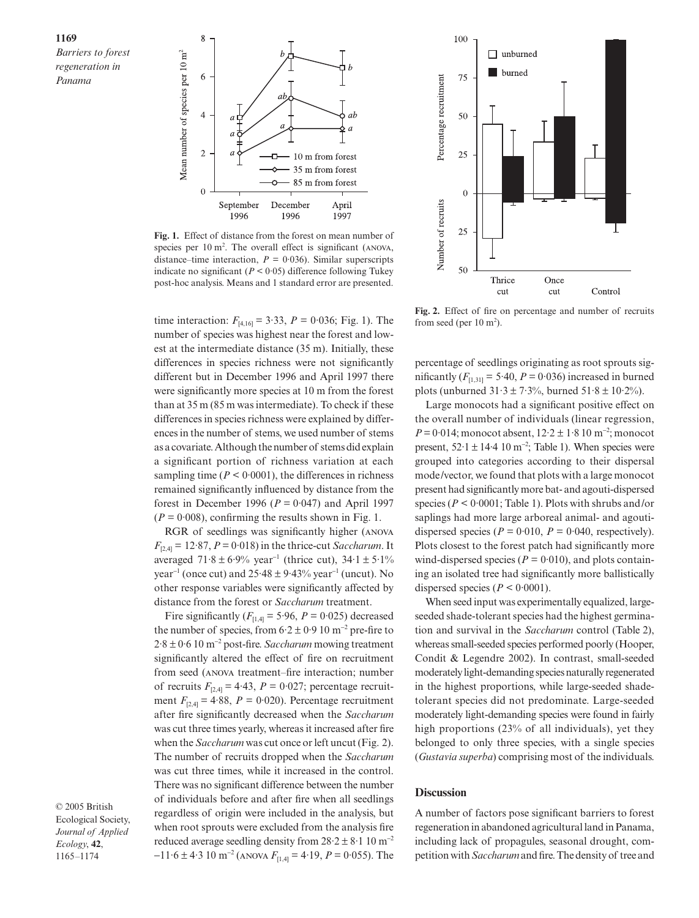**1169**

*Barriers to forest regeneration in Panama*



**Fig. 1.** Effect of distance from the forest on mean number of species per  $10 \text{ m}^2$ . The overall effect is significant (ANOVA, distance–time interaction,  $P = 0.036$ ). Similar superscripts indicate no significant ( $P < 0.05$ ) difference following Tukey post-hoc analysis. Means and 1 standard error are presented.

time interaction:  $F_{[4,16]} = 3.33$ ,  $P = 0.036$ ; Fig. 1). The number of species was highest near the forest and lowest at the intermediate distance (35 m). Initially, these differences in species richness were not significantly different but in December 1996 and April 1997 there were significantly more species at 10 m from the forest than at 35 m (85 m was intermediate). To check if these differences in species richness were explained by differences in the number of stems, we used number of stems as a covariate. Although the number of stems did explain a significant portion of richness variation at each sampling time  $(P < 0.0001)$ , the differences in richness remained significantly influenced by distance from the forest in December 1996 ( $P = 0.047$ ) and April 1997  $(P = 0.008)$ , confirming the results shown in Fig. 1.

RGR of seedlings was significantly higher (ANOVA  $F_{[2,4]} = 12.87$ ,  $P = 0.018$ ) in the thrice-cut *Saccharum*. It averaged  $71·8 ± 6·9%$  year<sup>-1</sup> (thrice cut),  $34·1 ± 5·1%$ year<sup>-1</sup> (once cut) and  $25.48 \pm 9.43\%$  year<sup>-1</sup> (uncut). No other response variables were significantly affected by distance from the forest or *Saccharum* treatment.

Fire significantly  $(F<sub>[1,4]</sub> = 5.96, P = 0.025)$  decreased the number of species, from  $6.2 \pm 0.9$  10 m<sup>-2</sup> pre-fire to 2·8 ± 0·6 10 m<sup>−</sup><sup>2</sup> post-fire. *Saccharum* mowing treatment significantly altered the effect of fire on recruitment from seed (ANOVA treatment–fire interaction; number of recruits  $F_{2,4} = 4.43$ ,  $P = 0.027$ ; percentage recruitment  $F_{[2,4]} = 4.88$ ,  $P = 0.020$ ). Percentage recruitment after fire significantly decreased when the *Saccharum* was cut three times yearly, whereas it increased after fire when the *Saccharum* was cut once or left uncut (Fig. 2). The number of recruits dropped when the *Saccharum* was cut three times, while it increased in the control. There was no significant difference between the number of individuals before and after fire when all seedlings regardless of origin were included in the analysis, but when root sprouts were excluded from the analysis fire reduced average seedling density from  $28.2 \pm 8.1$  10 m<sup>-2</sup> −11·6 ± 4·3 10 m<sup>−</sup><sup>2</sup> ( *F*[1,4] = 4·19, *P* = 0·055). The

© 2005 British Ecological Society, *Journal of Applied Ecology*, **42**, 1165–1174



**Fig. 2.** Effect of fire on percentage and number of recruits from seed (per  $10 \text{ m}^2$ ).

percentage of seedlings originating as root sprouts significantly  $(F<sub>[1,31]</sub> = 5.40, P = 0.036)$  increased in burned plots (unburned  $31.3 \pm 7.3$ %, burned  $51.8 \pm 10.2$ %).

Large monocots had a significant positive effect on the overall number of individuals (linear regression, *P* = 0·014; monocot absent, 12·2 ± 1·8 10 m<sup>-2</sup>; monocot present,  $52 \cdot 1 \pm 14 \cdot 4 \cdot 10 \text{ m}^{-2}$ ; Table 1). When species were grouped into categories according to their dispersal mode/vector, we found that plots with a large monocot present had significantly more bat- and agouti-dispersed species ( $P < 0.0001$ ; Table 1). Plots with shrubs and/or saplings had more large arboreal animal- and agoutidispersed species ( $P = 0.010$ ,  $P = 0.040$ , respectively). Plots closest to the forest patch had significantly more wind-dispersed species ( $P = 0.010$ ), and plots containing an isolated tree had significantly more ballistically dispersed species ( $P < 0.0001$ ).

When seed input was experimentally equalized, largeseeded shade-tolerant species had the highest germination and survival in the *Saccharum* control (Table 2), whereas small-seeded species performed poorly (Hooper, Condit & Legendre 2002). In contrast, small-seeded moderately light-demanding species naturally regenerated in the highest proportions, while large-seeded shadetolerant species did not predominate. Large-seeded moderately light-demanding species were found in fairly high proportions (23% of all individuals), yet they belonged to only three species, with a single species (*Gustavia superba*) comprising most of the individuals.

## **Discussion**

A number of factors pose significant barriers to forest regeneration in abandoned agricultural land in Panama, including lack of propagules, seasonal drought, competition with *Saccharum* and fire. The density of tree and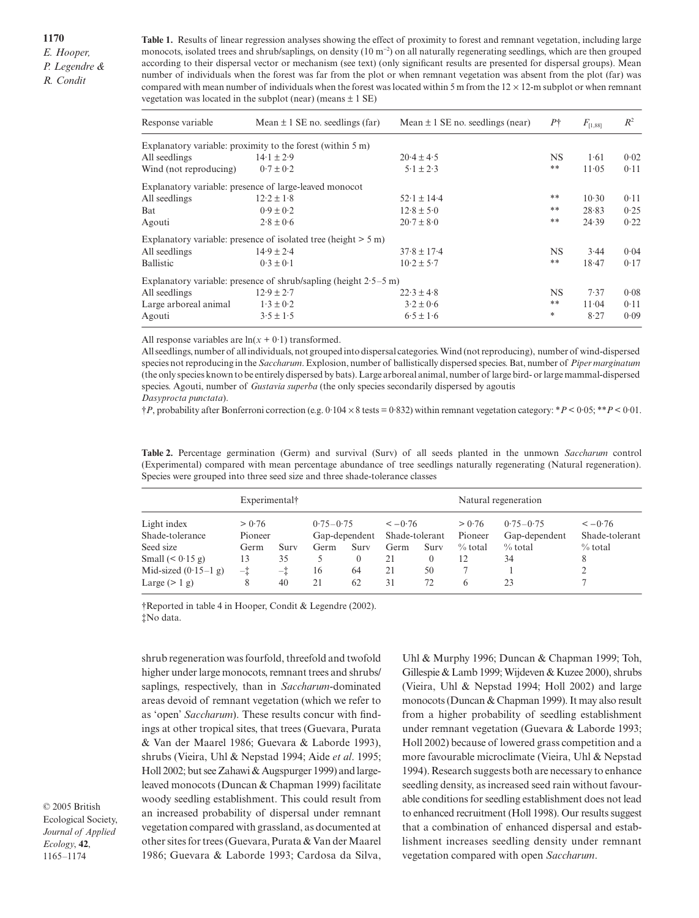**Table 1.** Results of linear regression analyses showing the effect of proximity to forest and remnant vegetation, including large monocots, isolated trees and shrub/saplings, on density (10 m<sup>-2</sup>) on all naturally regenerating seedlings, which are then grouped according to their dispersal vector or mechanism (see text) (only significant results are presented for dispersal groups). Mean number of individuals when the forest was far from the plot or when remnant vegetation was absent from the plot (far) was compared with mean number of individuals when the forest was located within 5 m from the  $12 \times 12$ -m subplot or when remnant vegetation was located in the subplot (near) (means  $\pm$  1 SE)

| Response variable      | Mean $\pm$ 1 SE no. seedlings (far)                                   | Mean $\pm$ 1 SE no. seedlings (near) | $P\dagger$ | $F_{[1,88]}$ | $R^2$ |
|------------------------|-----------------------------------------------------------------------|--------------------------------------|------------|--------------|-------|
|                        | Explanatory variable: proximity to the forest (within $5 \text{ m}$ ) |                                      |            |              |       |
| All seedlings          | $14.1 \pm 2.9$                                                        | $20.4 \pm 4.5$                       | <b>NS</b>  | 1.61         | 0.02  |
| Wind (not reproducing) | $0.7 \pm 0.2$                                                         | $5.1 \pm 2.3$                        | **         | 11.05        | 0.11  |
|                        | Explanatory variable: presence of large-leaved monocot                |                                      |            |              |       |
| All seedlings          | $12.2 \pm 1.8$                                                        | $52 \cdot 1 \pm 14 \cdot 4$          | $\ast\ast$ | 10.30        | 0.11  |
| Bat                    | $0.9 \pm 0.2$                                                         | $12.8 \pm 5.0$                       | $\ast\ast$ | 28.83        | 0.25  |
| Agouti                 | $2.8 \pm 0.6$                                                         | $20.7 \pm 8.0$                       | $\ast\ast$ | 24.39        | 0.22  |
|                        | Explanatory variable: presence of isolated tree (height $> 5$ m)      |                                      |            |              |       |
| All seedlings          | $14.9 \pm 2.4$                                                        | $37.8 \pm 17.4$                      | <b>NS</b>  | 3.44         | 0.04  |
| Ballistic              | $0.3 \pm 0.1$                                                         | $10.2 \pm 5.7$                       | $\ast\ast$ | 18.47        | 0.17  |
|                        | Explanatory variable: presence of shrub/sapling (height $2.5-5$ m)    |                                      |            |              |       |
| All seedlings          | $12.9 \pm 2.7$                                                        | $22.3 \pm 4.8$                       | <b>NS</b>  | 7.37         | 0.08  |
| Large arboreal animal  | $1.3 \pm 0.2$                                                         | $3.2 \pm 0.6$                        | $\ast\ast$ | 11.04        | 0.11  |
| Agouti                 | $3.5 \pm 1.5$                                                         | $6.5 \pm 1.6$                        | *          | 8.27         | 0.09  |

All response variables are  $ln(x + 0.1)$  transformed.

All seedlings, number of all individuals, not grouped into dispersal categories. Wind (not reproducing), number of wind-dispersed species not reproducing in the *Saccharum*. Explosion, number of ballistically dispersed species. Bat, number of *Piper marginatum* (the only species known to be entirely dispersed by bats). Large arboreal animal, number of large bird- or large mammal-dispersed species. Agouti, number of *Gustavia superba* (the only species secondarily dispersed by agoutis

*Dasyprocta punctata*).

†*P*, probability after Bonferroni correction (e.g. 0·104 × 8 tests = 0·832) within remnant vegetation category: \**P* < 0·05; \*\**P* < 0·01.

**Table 2.** Percentage germination (Germ) and survival (Surv) of all seeds planted in the unmown *Saccharum* control (Experimental) compared with mean percentage abundance of tree seedlings naturally regenerating (Natural regeneration). Species were grouped into three seed size and three shade-tolerance classes

|                                | Experimental†     |      |                                |          |                            |      |                   | Natural regeneration           |                            |  |  |
|--------------------------------|-------------------|------|--------------------------------|----------|----------------------------|------|-------------------|--------------------------------|----------------------------|--|--|
| Light index<br>Shade-tolerance | > 0.76<br>Pioneer |      | $0.75 - 0.75$<br>Gap-dependent |          | $<-0.76$<br>Shade-tolerant |      | > 0.76<br>Pioneer | $0.75 - 0.75$<br>Gap-dependent | $<-0.76$<br>Shade-tolerant |  |  |
| Seed size                      | Germ              | Surv | Germ                           | Surv     | Germ                       | Surv | $\%$ total        | $\%$ total                     | $\%$ total                 |  |  |
| Small $(0.15 \text{ g})$       | 13                | 35   |                                | $\theta$ | 21                         | 0    | 12                | 34                             | 8                          |  |  |
| Mid-sized $(0.15-1)$ g)        | $-t$<br>-İ        |      | 16<br>64                       |          | 21<br>50                   |      |                   |                                |                            |  |  |
| Large $(> 1 g)$                | 8                 | 40   | 21                             | 62       | 31                         | 72   | 6                 | 23                             |                            |  |  |

†Reported in table 4 in Hooper, Condit & Legendre (2002). ‡No data.

shrub regeneration was fourfold, threefold and twofold higher under large monocots, remnant trees and shrubs/ saplings, respectively, than in *Saccharum*-dominated areas devoid of remnant vegetation (which we refer to as 'open' *Saccharum*). These results concur with findings at other tropical sites, that trees (Guevara, Purata & Van der Maarel 1986; Guevara & Laborde 1993), shrubs (Vieira, Uhl & Nepstad 1994; Aide *et al*. 1995; Holl 2002; but see Zahawi & Augspurger 1999) and largeleaved monocots (Duncan & Chapman 1999) facilitate woody seedling establishment. This could result from an increased probability of dispersal under remnant vegetation compared with grassland, as documented at other sites for trees (Guevara, Purata & Van der Maarel 1986; Guevara & Laborde 1993; Cardosa da Silva,

© 2005 British Ecological Society, *Journal of Applied Ecology*, **42**, 1165–1174

Uhl & Murphy 1996; Duncan & Chapman 1999; Toh, Gillespie & Lamb 1999; Wijdeven & Kuzee 2000), shrubs (Vieira, Uhl & Nepstad 1994; Holl 2002) and large monocots (Duncan & Chapman 1999). It may also result from a higher probability of seedling establishment under remnant vegetation (Guevara & Laborde 1993; Holl 2002) because of lowered grass competition and a more favourable microclimate (Vieira, Uhl & Nepstad 1994). Research suggests both are necessary to enhance seedling density, as increased seed rain without favourable conditions for seedling establishment does not lead to enhanced recruitment (Holl 1998). Our results suggest that a combination of enhanced dispersal and establishment increases seedling density under remnant vegetation compared with open *Saccharum*.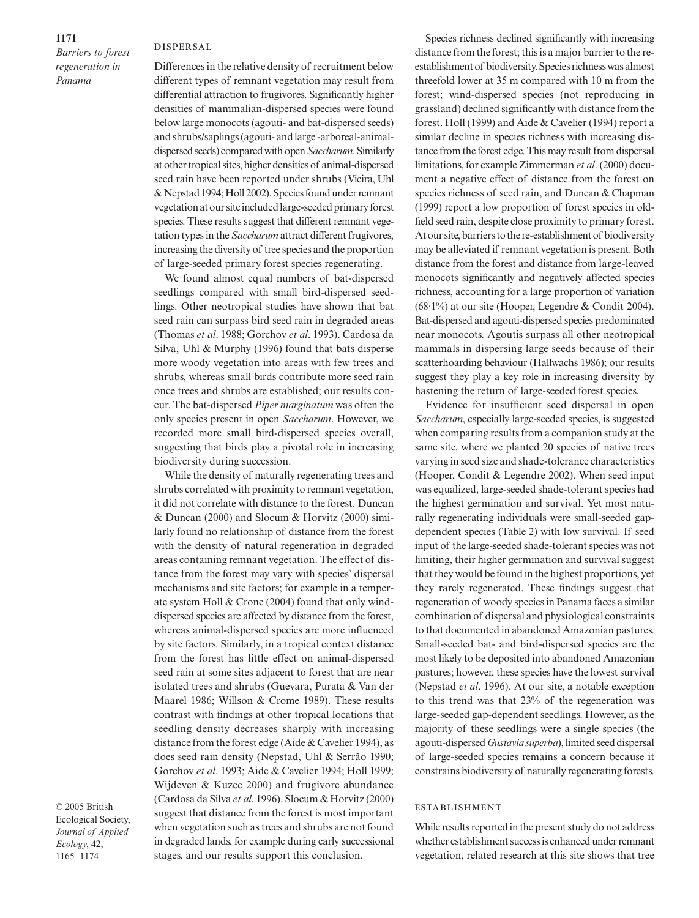## **DISPERSAL**

*Barriers to forest regeneration in Panama*

Differences in the relative density of recruitment below different types of remnant vegetation may result from differential attraction to frugivores. Significantly higher densities of mammalian-dispersed species were found below large monocots (agouti- and bat-dispersed seeds) and shrubs/saplings (agouti- and large -arboreal-animaldispersed seeds) compared with open *Saccharum*. Similarly at other tropical sites, higher densities of animal-dispersed seed rain have been reported under shrubs (Vieira, Uhl & Nepstad 1994; Holl 2002). Species found under remnant vegetation at our site included large-seeded primary forest species. These results suggest that different remnant vegetation types in the *Saccharum* attract different frugivores, increasing the diversity of tree species and the proportion of large-seeded primary forest species regenerating.

We found almost equal numbers of bat-dispersed seedlings compared with small bird-dispersed seedlings. Other neotropical studies have shown that bat seed rain can surpass bird seed rain in degraded areas (Thomas *et al*. 1988; Gorchov *et al*. 1993). Cardosa da Silva, Uhl & Murphy (1996) found that bats disperse more woody vegetation into areas with few trees and shrubs, whereas small birds contribute more seed rain once trees and shrubs are established; our results concur. The bat-dispersed *Piper marginatum* was often the only species present in open *Saccharum*. However, we recorded more small bird-dispersed species overall, suggesting that birds play a pivotal role in increasing biodiversity during succession.

While the density of naturally regenerating trees and shrubs correlated with proximity to remnant vegetation, it did not correlate with distance to the forest. Duncan & Duncan (2000) and Slocum & Horvitz (2000) similarly found no relationship of distance from the forest with the density of natural regeneration in degraded areas containing remnant vegetation. The effect of distance from the forest may vary with species' dispersal mechanisms and site factors; for example in a temperate system Holl & Crone (2004) found that only winddispersed species are affected by distance from the forest, whereas animal-dispersed species are more influenced by site factors. Similarly, in a tropical context distance from the forest has little effect on animal-dispersed seed rain at some sites adjacent to forest that are near isolated trees and shrubs (Guevara, Purata & Van der Maarel 1986; Willson & Crome 1989). These results contrast with findings at other tropical locations that seedling density decreases sharply with increasing distance from the forest edge (Aide & Cavelier 1994), as does seed rain density (Nepstad, Uhl & Serrão 1990; Gorchov *et al*. 1993; Aide & Cavelier 1994; Holl 1999; Wijdeven & Kuzee 2000) and frugivore abundance (Cardosa da Silva *et al*. 1996). Slocum & Horvitz (2000) suggest that distance from the forest is most important when vegetation such as trees and shrubs are not found in degraded lands, for example during early successional stages, and our results support this conclusion.

© 2005 British Ecological Society, *Journal of Applied Ecology*, **42**, 1165–1174

Species richness declined significantly with increasing distance from the forest; this is a major barrier to the reestablishment of biodiversity. Species richness was almost threefold lower at 35 m compared with 10 m from the forest; wind-dispersed species (not reproducing in grassland) declined significantly with distance from the forest. Holl (1999) and Aide & Cavelier (1994) report a similar decline in species richness with increasing distance from the forest edge. This may result from dispersal limitations, for example Zimmerman *et al*. (2000) document a negative effect of distance from the forest on species richness of seed rain, and Duncan & Chapman (1999) report a low proportion of forest species in oldfield seed rain, despite close proximity to primary forest. At our site, barriers to the re-establishment of biodiversity may be alleviated if remnant vegetation is present. Both distance from the forest and distance from large-leaved monocots significantly and negatively affected species richness, accounting for a large proportion of variation (68·1%) at our site (Hooper, Legendre & Condit 2004). Bat-dispersed and agouti-dispersed species predominated near monocots. Agoutis surpass all other neotropical mammals in dispersing large seeds because of their scatterhoarding behaviour (Hallwachs 1986); our results suggest they play a key role in increasing diversity by hastening the return of large-seeded forest species.

Evidence for insufficient seed dispersal in open *Saccharum*, especially large-seeded species, is suggested when comparing results from a companion study at the same site, where we planted 20 species of native trees varying in seed size and shade-tolerance characteristics (Hooper, Condit & Legendre 2002). When seed input was equalized, large-seeded shade-tolerant species had the highest germination and survival. Yet most naturally regenerating individuals were small-seeded gapdependent species (Table 2) with low survival. If seed input of the large-seeded shade-tolerant species was not limiting, their higher germination and survival suggest that they would be found in the highest proportions, yet they rarely regenerated. These findings suggest that regeneration of woody species in Panama faces a similar combination of dispersal and physiological constraints to that documented in abandoned Amazonian pastures. Small-seeded bat- and bird-dispersed species are the most likely to be deposited into abandoned Amazonian pastures; however, these species have the lowest survival (Nepstad *et al*. 1996). At our site, a notable exception to this trend was that 23% of the regeneration was large-seeded gap-dependent seedlings. However, as the majority of these seedlings were a single species (the agouti-dispersed *Gustavia superba*), limited seed dispersal of large-seeded species remains a concern because it constrains biodiversity of naturally regenerating forests.

### **ESTABLISHMENT**

While results reported in the present study do not address whether establishment success is enhanced under remnant vegetation, related research at this site shows that tree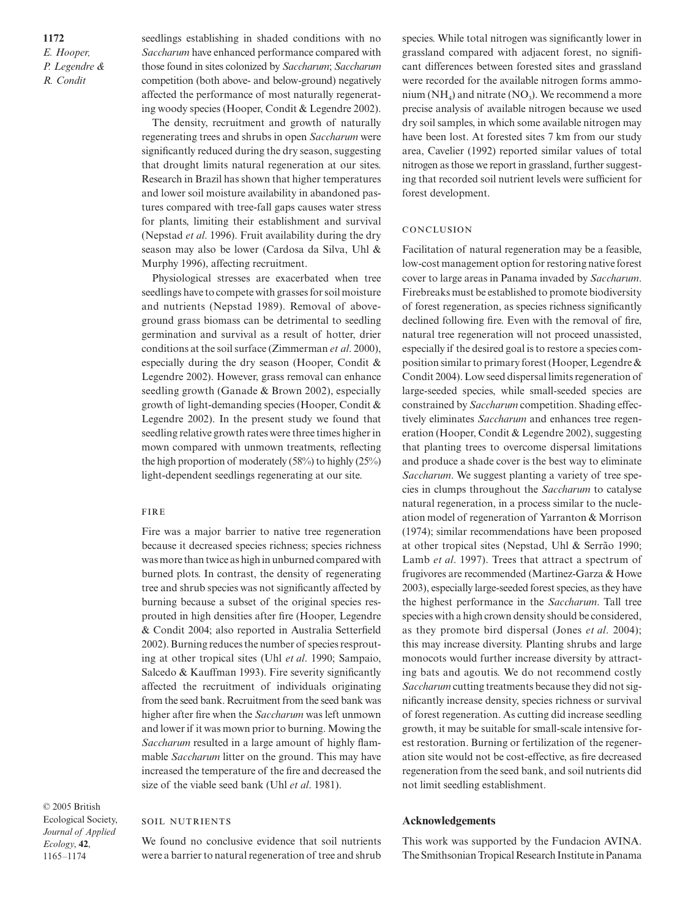**1172** *E. Hooper, P. Legendre & R. Condit*

seedlings establishing in shaded conditions with no *Saccharum* have enhanced performance compared with those found in sites colonized by *Saccharum*; *Saccharum* competition (both above- and below-ground) negatively affected the performance of most naturally regenerating woody species (Hooper, Condit & Legendre 2002).

The density, recruitment and growth of naturally regenerating trees and shrubs in open *Saccharum* were significantly reduced during the dry season, suggesting that drought limits natural regeneration at our sites. Research in Brazil has shown that higher temperatures and lower soil moisture availability in abandoned pastures compared with tree-fall gaps causes water stress for plants, limiting their establishment and survival (Nepstad *et al*. 1996). Fruit availability during the dry season may also be lower (Cardosa da Silva, Uhl & Murphy 1996), affecting recruitment.

Physiological stresses are exacerbated when tree seedlings have to compete with grasses for soil moisture and nutrients (Nepstad 1989). Removal of aboveground grass biomass can be detrimental to seedling germination and survival as a result of hotter, drier conditions at the soil surface (Zimmerman *et al*. 2000), especially during the dry season (Hooper, Condit & Legendre 2002). However, grass removal can enhance seedling growth (Ganade & Brown 2002), especially growth of light-demanding species (Hooper, Condit & Legendre 2002). In the present study we found that seedling relative growth rates were three times higher in mown compared with unmown treatments, reflecting the high proportion of moderately (58%) to highly (25%) light-dependent seedlings regenerating at our site.

## **FIRE**

Fire was a major barrier to native tree regeneration because it decreased species richness; species richness was more than twice as high in unburned compared with burned plots. In contrast, the density of regenerating tree and shrub species was not significantly affected by burning because a subset of the original species resprouted in high densities after fire (Hooper, Legendre & Condit 2004; also reported in Australia Setterfield 2002). Burning reduces the number of species resprouting at other tropical sites (Uhl *et al*. 1990; Sampaio, Salcedo & Kauffman 1993). Fire severity significantly affected the recruitment of individuals originating from the seed bank. Recruitment from the seed bank was higher after fire when the *Saccharum* was left unmown and lower if it was mown prior to burning. Mowing the *Saccharum* resulted in a large amount of highly flammable *Saccharum* litter on the ground. This may have increased the temperature of the fire and decreased the size of the viable seed bank (Uhl *et al*. 1981).

© 2005 British Ecological Society, *Journal of Applied Ecology*, **42**, 1165–1174

## **SOIL NUTRIENTS**

We found no conclusive evidence that soil nutrients were a barrier to natural regeneration of tree and shrub species. While total nitrogen was significantly lower in grassland compared with adjacent forest, no significant differences between forested sites and grassland were recorded for the available nitrogen forms ammonium (NH<sub>4</sub>) and nitrate (NO<sub>3</sub>). We recommend a more precise analysis of available nitrogen because we used dry soil samples, in which some available nitrogen may have been lost. At forested sites 7 km from our study area, Cavelier (1992) reported similar values of total nitrogen as those we report in grassland, further suggesting that recorded soil nutrient levels were sufficient for forest development.

### CONCLUSION

Facilitation of natural regeneration may be a feasible, low-cost management option for restoring native forest cover to large areas in Panama invaded by *Saccharum*. Firebreaks must be established to promote biodiversity of forest regeneration, as species richness significantly declined following fire. Even with the removal of fire, natural tree regeneration will not proceed unassisted, especially if the desired goal is to restore a species composition similar to primary forest (Hooper, Legendre & Condit 2004). Low seed dispersal limits regeneration of large-seeded species, while small-seeded species are constrained by *Saccharum* competition. Shading effectively eliminates *Saccharum* and enhances tree regeneration (Hooper, Condit & Legendre 2002), suggesting that planting trees to overcome dispersal limitations and produce a shade cover is the best way to eliminate *Saccharum*. We suggest planting a variety of tree species in clumps throughout the *Saccharum* to catalyse natural regeneration, in a process similar to the nucleation model of regeneration of Yarranton & Morrison (1974); similar recommendations have been proposed at other tropical sites (Nepstad, Uhl & Serrão 1990; Lamb *et al*. 1997). Trees that attract a spectrum of frugivores are recommended (Martinez-Garza & Howe 2003), especially large-seeded forest species, as they have the highest performance in the *Saccharum*. Tall tree species with a high crown density should be considered, as they promote bird dispersal (Jones *et al*. 2004); this may increase diversity. Planting shrubs and large monocots would further increase diversity by attracting bats and agoutis. We do not recommend costly *Saccharum* cutting treatments because they did not significantly increase density, species richness or survival of forest regeneration. As cutting did increase seedling growth, it may be suitable for small-scale intensive forest restoration. Burning or fertilization of the regeneration site would not be cost-effective, as fire decreased regeneration from the seed bank, and soil nutrients did not limit seedling establishment.

#### **Acknowledgements**

This work was supported by the Fundacion AVINA. The Smithsonian Tropical Research Institute in Panama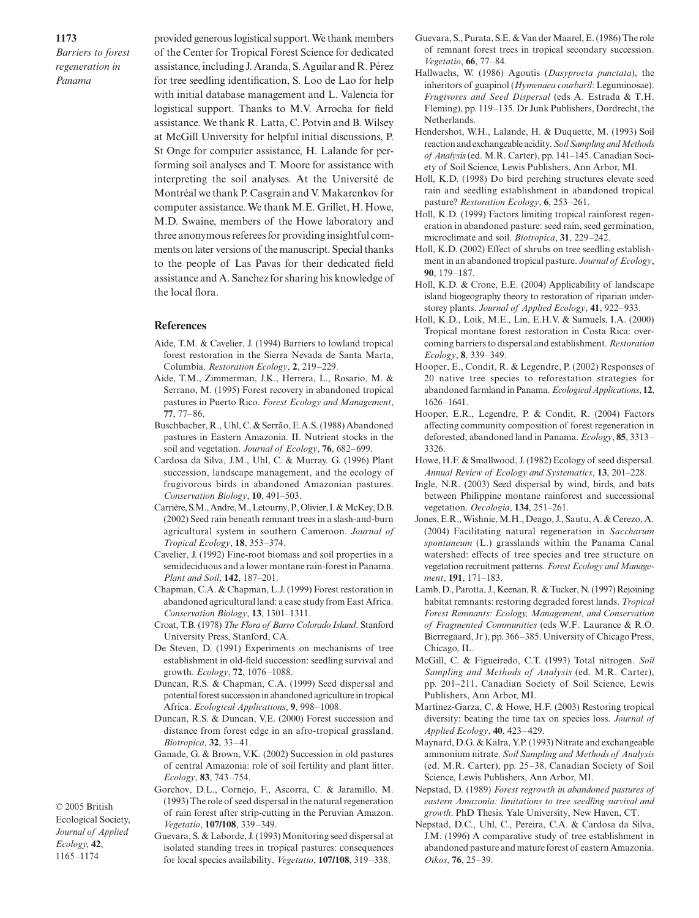*Barriers to forest regeneration in Panama*

provided generous logistical support. We thank members of the Center for Tropical Forest Science for dedicated assistance, including J. Aranda, S. Aguilar and R. Pérez for tree seedling identification, S. Loo de Lao for help with initial database management and L. Valencia for logistical support. Thanks to M.V. Arrocha for field assistance. We thank R. Latta, C. Potvin and B. Wilsey at McGill University for helpful initial discussions, P. St Onge for computer assistance, H. Lalande for performing soil analyses and T. Moore for assistance with interpreting the soil analyses. At the Université de Montréal we thank P. Casgrain and V. Makarenkov for computer assistance. We thank M.E. Grillet, H. Howe, M.D. Swaine, members of the Howe laboratory and three anonymous referees for providing insightful comments on later versions of the manuscript. Special thanks to the people of Las Pavas for their dedicated field assistance and A. Sanchez for sharing his knowledge of the local flora.

## **References**

- Aide, T.M. & Cavelier, J. (1994) Barriers to lowland tropical forest restoration in the Sierra Nevada de Santa Marta, Columbia. *Restoration Ecology*, **2**, 219–229.
- Aide, T.M., Zimmerman, J.K., Herrera, L., Rosario, M. & Serrano, M. (1995) Forest recovery in abandoned tropical pastures in Puerto Rico. *Forest Ecology and Management*, **77**, 77–86.
- Buschbacher, R., Uhl, C. & Serrão, E.A.S. (1988) Abandoned pastures in Eastern Amazonia. II. Nutrient stocks in the soil and vegetation. *Journal of Ecology*, **76**, 682–699.
- Cardosa da Silva, J.M., Uhl, C. & Murray. G. (1996) Plant succession, landscape management, and the ecology of frugivorous birds in abandoned Amazonian pastures. *Conservation Biology*, **10**, 491–503.
- Carrière, S.M., Andre, M., Letourny, P., Olivier, I. & McKey, D.B. (2002) Seed rain beneath remnant trees in a slash-and-burn agricultural system in southern Cameroon. *Journal of Tropical Ecology*, **18**, 353–374.
- Cavelier, J. (1992) Fine-root biomass and soil properties in a semideciduous and a lower montane rain-forest in Panama. *Plant and Soil*, **142**, 187–201.
- Chapman, C.A. & Chapman, L.J. (1999) Forest restoration in abandoned agricultural land: a case study from East Africa. *Conservation Biology*, **13**, 1301–1311.
- Croat, T.B. (1978) *The Flora of Barro Colorado Island*. Stanford University Press, Stanford, CA.
- De Steven, D. (1991) Experiments on mechanisms of tree establishment in old-field succession: seedling survival and growth. *Ecology*, **72**, 1076–1088.
- Duncan, R.S. & Chapman, C.A. (1999) Seed dispersal and potential forest succession in abandoned agriculture in tropical Africa. *Ecological Applications*, **9**, 998–1008.
- Duncan, R.S. & Duncan, V.E. (2000) Forest succession and distance from forest edge in an afro-tropical grassland. *Biotropica*, **32**, 33–41.
- Ganade, G. & Brown, V.K. (2002) Succession in old pastures of central Amazonia: role of soil fertility and plant litter. *Ecology*, **83**, 743–754.
- Gorchov, D.L., Cornejo, F., Ascorra, C. & Jaramillo, M. (1993) The role of seed dispersal in the natural regeneration of rain forest after strip-cutting in the Peruvian Amazon. *Vegetatio*, **107/108**, 339–349.

Ecological Society, *Journal of Applied Ecology*, **42**, 1165–1174

© 2005 British

Guevara, S. & Laborde, J. (1993) Monitoring seed dispersal at isolated standing trees in tropical pastures: consequences for local species availability. *Vegetatio*, **107/108**, 319–338.

- Guevara, S., Purata, S.E. & Van der Maarel, E. (1986) The role of remnant forest trees in tropical secondary succession. *Vegetatio*, **66**, 77–84.
- Hallwachs, W. (1986) Agoutis (*Dasyprocta punctata*), the inheritors of guapinol (*Hymenaea courbaril*: Leguminosae). *Frugivores and Seed Dispersal* (eds A. Estrada & T.H. Fleming), pp. 119–135. Dr Junk Publishers, Dordrecht, the **Netherlands**.
- Hendershot, W.H., Lalande, H. & Duquette, M. (1993) Soil reaction and exchangeable acidity. *Soil Sampling and Methods of Analysis*(ed. M.R. Carter), pp. 141–145. Canadian Society of Soil Science, Lewis Publishers, Ann Arbor, MI.
- Holl, K.D. (1998) Do bird perching structures elevate seed rain and seedling establishment in abandoned tropical pasture? *Restoration Ecology*, **6**, 253–261.
- Holl, K.D. (1999) Factors limiting tropical rainforest regeneration in abandoned pasture: seed rain, seed germination, microclimate and soil. *Biotropica*, **31**, 229–242.
- Holl, K.D. (2002) Effect of shrubs on tree seedling establishment in an abandoned tropical pasture. *Journal of Ecology*, **90**, 179–187.
- Holl, K.D. & Crone, E.E. (2004) Applicability of landscape island biogeography theory to restoration of riparian understorey plants. *Journal of Applied Ecology*, **41**, 922–933.
- Holl, K.D., Loik, M.E., Lin, E.H.V. & Samuels, I.A. (2000) Tropical montane forest restoration in Costa Rica: overcoming barriers to dispersal and establishment. *Restoration Ecology*, **8**, 339–349.
- Hooper, E., Condit, R. & Legendre, P. (2002) Responses of 20 native tree species to reforestation strategies for abandoned farmland in Panama. *Ecological Applications*, **12**, 1626–1641.
- Hooper, E.R., Legendre, P. & Condit, R. (2004) Factors affecting community composition of forest regeneration in deforested, abandoned land in Panama. *Ecology*, **85**, 3313– 3326.
- Howe, H.F. & Smallwood, J. (1982) Ecology of seed dispersal. *Annual Review of Ecology and Systematics*, **13**, 201–228.
- Ingle, N.R. (2003) Seed dispersal by wind, birds, and bats between Philippine montane rainforest and successional vegetation. *Oecologia*, **134**, 251–261.
- Jones, E.R., Wishnie, M.H., Deago, J., Sautu, A. & Cerezo, A. (2004) Facilitating natural regeneration in *Saccharum spontaneum* (L.) grasslands within the Panama Canal watershed: effects of tree species and tree structure on vegetation recruitment patterns. *Forest Ecology and Management*, **191**, 171–183.
- Lamb, D., Parotta, J., Keenan, R. & Tucker, N. (1997) Rejoining habitat remnants: restoring degraded forest lands. *Tropical Forest Remnants: Ecology, Management, and Conservation of Fragmented Communities* (eds W.F. Laurance & R.O. Bierregaard, Jr ), pp. 366–385. University of Chicago Press, Chicago, IL.
- McGill, C. & Figueiredo, C.T. (1993) Total nitrogen. *Soil Sampling and Methods of Analysis* (ed. M.R. Carter), pp. 201–211. Canadian Society of Soil Science, Lewis Publishers, Ann Arbor, MI.
- Martinez-Garza, C. & Howe, H.F. (2003) Restoring tropical diversity: beating the time tax on species loss. *Journal of Applied Ecology*, **40**, 423–429.
- Maynard, D.G. & Kalra, Y.P. (1993) Nitrate and exchangeable ammonium nitrate. *Soil Sampling and Methods of Analysis* (ed. M.R. Carter), pp. 25–38. Canadian Society of Soil Science, Lewis Publishers, Ann Arbor, MI.
- Nepstad, D. (1989) *Forest regrowth in abandoned pastures of eastern Amazonia: limitations to tree seedling survival and growth*. PhD Thesis. Yale University, New Haven, CT.
- Nepstad, D.C., Uhl, C., Pereira, C.A. & Cardosa da Silva, J.M. (1996) A comparative study of tree establishment in abandoned pasture and mature forest of eastern Amazonia. *Oikos*, **76**, 25–39.

**1173**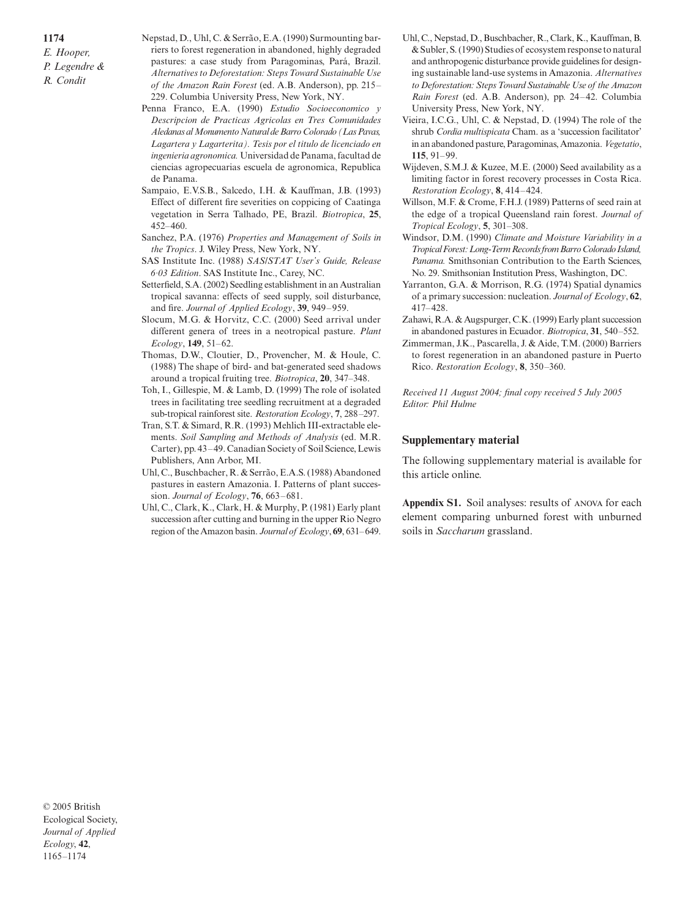*E. Hooper, P. Legendre & R. Condit*

**1174**

Nepstad, D., Uhl, C. & Serrão, E.A. (1990) Surmounting barriers to forest regeneration in abandoned, highly degraded pastures: a case study from Paragominas, Pará, Brazil. *Alternatives to Deforestation: Steps Toward Sustainable Use of the Amazon Rain Forest* (ed. A.B. Anderson), pp. 215– 229. Columbia University Press, New York, NY.

- Penna Franco, E.A. (1990) *Estudio Socioeconomico y Descripcion de Practicas Agricolas en Tres Comunidades Aledanas al Monumento Natural de Barro Colorado (Las Pavas, Lagartera y Lagarterita). Tesis por el titulo de licenciado en ingenieria agronomica.* Universidad de Panama, facultad de ciencias agropecuarias escuela de agronomica, Republica de Panama.
- Sampaio, E.V.S.B., Salcedo, I.H. & Kauffman, J.B. (1993) Effect of different fire severities on coppicing of Caatinga vegetation in Serra Talhado, PE, Brazil. *Biotropica*, **25**, 452–460.
- Sanchez, P.A. (1976) *Properties and Management of Soils in the Tropics*. J. Wiley Press, New York, NY.
- SAS Institute Inc. (1988) *SAS/STAT User's Guide, Release 6·03 Edition*. SAS Institute Inc., Carey, NC.
- Setterfield, S.A. (2002) Seedling establishment in an Australian tropical savanna: effects of seed supply, soil disturbance, and fire. *Journal of Applied Ecology*, **39**, 949–959.
- Slocum, M.G. & Horvitz, C.C. (2000) Seed arrival under different genera of trees in a neotropical pasture. *Plant Ecology*, **149**, 51–62.
- Thomas, D.W., Cloutier, D., Provencher, M. & Houle, C. (1988) The shape of bird- and bat-generated seed shadows around a tropical fruiting tree. *Biotropica*, **20**, 347–348.
- Toh, I., Gillespie, M. & Lamb, D. (1999) The role of isolated trees in facilitating tree seedling recruitment at a degraded sub-tropical rainforest site. *Restoration Ecology*, **7**, 288–297.
- Tran, S.T. & Simard, R.R. (1993) Mehlich III-extractable elements. *Soil Sampling and Methods of Analysis* (ed. M.R. Carter), pp. 43–49. Canadian Society of Soil Science, Lewis Publishers, Ann Arbor, MI.
- Uhl, C., Buschbacher, R. & Serrão, E.A.S. (1988) Abandoned pastures in eastern Amazonia. I. Patterns of plant succession. *Journal of Ecology*, **76**, 663–681.
- Uhl, C., Clark, K., Clark, H. & Murphy, P. (1981) Early plant succession after cutting and burning in the upper Rio Negro region of the Amazon basin. *Journal of Ecology*, **69**, 631–649.
- Uhl, C., Nepstad, D., Buschbacher, R., Clark, K., Kauffman, B. & Subler, S. (1990) Studies of ecosystem response to natural and anthropogenic disturbance provide guidelines for designing sustainable land-use systems in Amazonia. *Alternatives to Deforestation: Steps Toward Sustainable Use of the Amazon Rain Forest* (ed. A.B. Anderson), pp. 24–42. Columbia University Press, New York, NY.
- Vieira, I.C.G., Uhl, C. & Nepstad, D. (1994) The role of the shrub *Cordia multispicata* Cham. as a 'succession facilitator' in an abandoned pasture, Paragominas, Amazonia. *Vegetatio*, **115**, 91–99.
- Wijdeven, S.M.J. & Kuzee, M.E. (2000) Seed availability as a limiting factor in forest recovery processes in Costa Rica. *Restoration Ecology*, **8**, 414–424.
- Willson, M.F. & Crome, F.H.J. (1989) Patterns of seed rain at the edge of a tropical Queensland rain forest. *Journal of Tropical Ecology*, **5**, 301–308.
- Windsor, D.M. (1990) *Climate and Moisture Variability in a Tropical Forest: Long-Term Records from Barro Colorado Island, Panama.* Smithsonian Contribution to the Earth Sciences, No. 29. Smithsonian Institution Press, Washington, DC.
- Yarranton, G.A. & Morrison, R.G. (1974) Spatial dynamics of a primary succession: nucleation. *Journal of Ecology*, **62**, 417–428.
- Zahawi, R.A. & Augspurger, C.K. (1999) Early plant succession in abandoned pastures in Ecuador. *Biotropica*, **31**, 540–552.
- Zimmerman, J.K., Pascarella, J. & Aide, T.M. (2000) Barriers to forest regeneration in an abandoned pasture in Puerto Rico. *Restoration Ecology*, **8**, 350–360.

*Received 11 August 2004; final copy received 5 July 2005 Editor: Phil Hulme*

#### **Supplementary material**

The following supplementary material is available for this article online.

Appendix S1. Soil analyses: results of ANOVA for each element comparing unburned forest with unburned soils in *Saccharum* grassland.

© 2005 British Ecological Society, *Journal of Applied Ecology*, **42**, 1165–1174